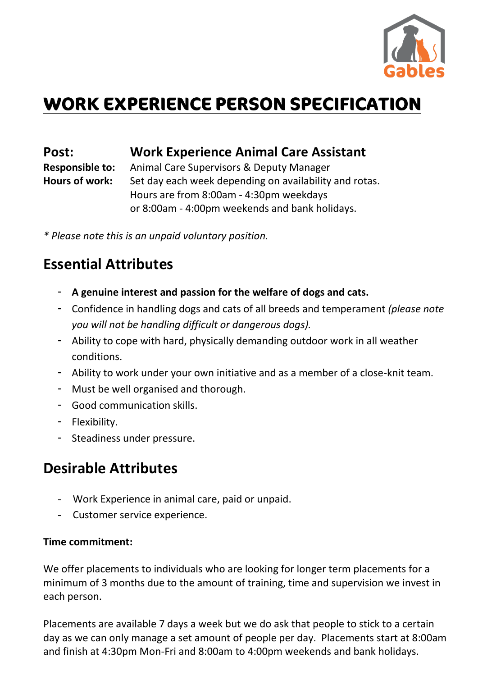

# **WORK EXPERIENCE PERSON SPECIFICATION**

**Post: Work Experience Animal Care Assistant** 

**Responsible to:** Animal Care Supervisors & Deputy Manager Hours of work: Set day each week depending on availability and rotas. Hours are from 8:00am - 4:30pm weekdays or 8:00am - 4:00pm weekends and bank holidays.

*\* Please note this is an unpaid voluntary position.*

## **Essential Attributes**

- **A genuine interest and passion for the welfare of dogs and cats.**
- Confidence in handling dogs and cats of all breeds and temperament *(please note you will not be handling difficult or dangerous dogs).*
- Ability to cope with hard, physically demanding outdoor work in all weather conditions.
- Ability to work under your own initiative and as a member of a close-knit team.
- Must be well organised and thorough.
- Good communication skills.
- Flexibility.
- Steadiness under pressure.

### **Desirable Attributes**

- Work Experience in animal care, paid or unpaid.
- Customer service experience.

#### **Time commitment:**

We offer placements to individuals who are looking for longer term placements for a minimum of 3 months due to the amount of training, time and supervision we invest in each person.

Placements are available 7 days a week but we do ask that people to stick to a certain day as we can only manage a set amount of people per day. Placements start at 8:00am and finish at 4:30pm Mon-Fri and 8:00am to 4:00pm weekends and bank holidays.